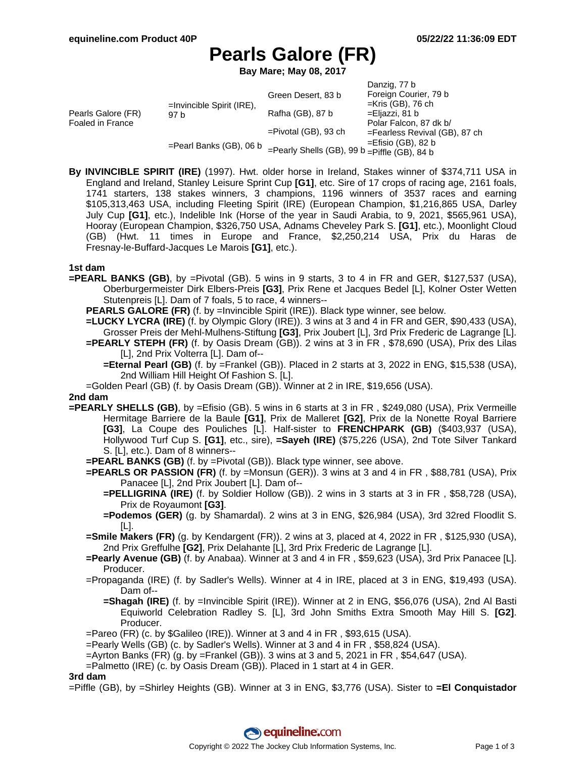# **Pearls Galore (FR)**

**Bay Mare; May 08, 2017**

|                                        |                                                                    |                                                    | Danzig, 77 b                     |
|----------------------------------------|--------------------------------------------------------------------|----------------------------------------------------|----------------------------------|
| Pearls Galore (FR)<br>Foaled in France | $=$ Invincible Spirit (IRE),<br>97 b<br>$=$ Pearl Banks (GB), 06 b | Green Desert, 83 b                                 | Foreign Courier, 79 b            |
|                                        |                                                                    |                                                    | $=$ Kris (GB), 76 ch             |
|                                        |                                                                    | Rafha (GB), 87 b                                   | =Eljazzi, 81 b                   |
|                                        |                                                                    |                                                    | Polar Falcon, 87 dk b/           |
|                                        |                                                                    | $=$ Pivotal (GB), 93 ch                            | $=$ Fearless Revival (GB), 87 ch |
|                                        |                                                                    |                                                    | $=$ Efisio (GB), 82 b            |
|                                        |                                                                    | $=$ Pearly Shells (GB), 99 b $=$ Piffle (GB), 84 b |                                  |

**By INVINCIBLE SPIRIT (IRE)** (1997). Hwt. older horse in Ireland, Stakes winner of \$374,711 USA in England and Ireland, Stanley Leisure Sprint Cup **[G1]**, etc. Sire of 17 crops of racing age, 2161 foals, 1741 starters, 138 stakes winners, 3 champions, 1196 winners of 3537 races and earning \$105,313,463 USA, including Fleeting Spirit (IRE) (European Champion, \$1,216,865 USA, Darley July Cup **[G1]**, etc.), Indelible Ink (Horse of the year in Saudi Arabia, to 9, 2021, \$565,961 USA), Hooray (European Champion, \$326,750 USA, Adnams Cheveley Park S. **[G1]**, etc.), Moonlight Cloud (GB) (Hwt. 11 times in Europe and France, \$2,250,214 USA, Prix du Haras de Fresnay-le-Buffard-Jacques Le Marois **[G1]**, etc.).

#### **1st dam**

- **=PEARL BANKS (GB)**, by =Pivotal (GB). 5 wins in 9 starts, 3 to 4 in FR and GER, \$127,537 (USA), Oberburgermeister Dirk Elbers-Preis **[G3]**, Prix Rene et Jacques Bedel [L], Kolner Oster Wetten Stutenpreis [L]. Dam of 7 foals, 5 to race, 4 winners--
	- **PEARLS GALORE (FR)** (f. by =Invincible Spirit (IRE)). Black type winner, see below.
	- **=LUCKY LYCRA (IRE)** (f. by Olympic Glory (IRE)). 3 wins at 3 and 4 in FR and GER, \$90,433 (USA), Grosser Preis der Mehl-Mulhens-Stiftung **[G3]**, Prix Joubert [L], 3rd Prix Frederic de Lagrange [L].
	- **=PEARLY STEPH (FR)** (f. by Oasis Dream (GB)). 2 wins at 3 in FR , \$78,690 (USA), Prix des Lilas [L], 2nd Prix Volterra [L]. Dam of--
		- **=Eternal Pearl (GB)** (f. by =Frankel (GB)). Placed in 2 starts at 3, 2022 in ENG, \$15,538 (USA), 2nd William Hill Height Of Fashion S. [L].
	- =Golden Pearl (GB) (f. by Oasis Dream (GB)). Winner at 2 in IRE, \$19,656 (USA).

#### **2nd dam**

- **=PEARLY SHELLS (GB)**, by =Efisio (GB). 5 wins in 6 starts at 3 in FR , \$249,080 (USA), Prix Vermeille Hermitage Barriere de la Baule **[G1]**, Prix de Malleret **[G2]**, Prix de la Nonette Royal Barriere **[G3]**, La Coupe des Pouliches [L]. Half-sister to **FRENCHPARK (GB)** (\$403,937 (USA), Hollywood Turf Cup S. **[G1]**, etc., sire), **=Sayeh (IRE)** (\$75,226 (USA), 2nd Tote Silver Tankard S. [L], etc.). Dam of 8 winners--
	- **=PEARL BANKS (GB)** (f. by =Pivotal (GB)). Black type winner, see above.
	- **=PEARLS OR PASSION (FR)** (f. by =Monsun (GER)). 3 wins at 3 and 4 in FR , \$88,781 (USA), Prix Panacee [L], 2nd Prix Joubert [L]. Dam of--
		- **=PELLIGRINA (IRE)** (f. by Soldier Hollow (GB)). 2 wins in 3 starts at 3 in FR , \$58,728 (USA), Prix de Royaumont **[G3]**.
		- **=Podemos (GER)** (g. by Shamardal). 2 wins at 3 in ENG, \$26,984 (USA), 3rd 32red Floodlit S. [L].
	- **=Smile Makers (FR)** (g. by Kendargent (FR)). 2 wins at 3, placed at 4, 2022 in FR , \$125,930 (USA), 2nd Prix Greffulhe **[G2]**, Prix Delahante [L], 3rd Prix Frederic de Lagrange [L].
	- **=Pearly Avenue (GB)** (f. by Anabaa). Winner at 3 and 4 in FR , \$59,623 (USA), 3rd Prix Panacee [L]. Producer.
	- =Propaganda (IRE) (f. by Sadler's Wells). Winner at 4 in IRE, placed at 3 in ENG, \$19,493 (USA). Dam of--
		- **=Shagah (IRE)** (f. by =Invincible Spirit (IRE)). Winner at 2 in ENG, \$56,076 (USA), 2nd Al Basti Equiworld Celebration Radley S. [L], 3rd John Smiths Extra Smooth May Hill S. **[G2]**. Producer.
	- =Pareo (FR) (c. by \$Galileo (IRE)). Winner at 3 and 4 in FR , \$93,615 (USA).
	- =Pearly Wells (GB) (c. by Sadler's Wells). Winner at 3 and 4 in FR , \$58,824 (USA).
	- $=$ Ayrton Banks (FR) (g. by  $=$ Frankel (GB)). 3 wins at 3 and 5, 2021 in FR, \$54,647 (USA).
	- =Palmetto (IRE) (c. by Oasis Dream (GB)). Placed in 1 start at 4 in GER.

#### **3rd dam**

=Piffle (GB), by =Shirley Heights (GB). Winner at 3 in ENG, \$3,776 (USA). Sister to **=El Conquistador**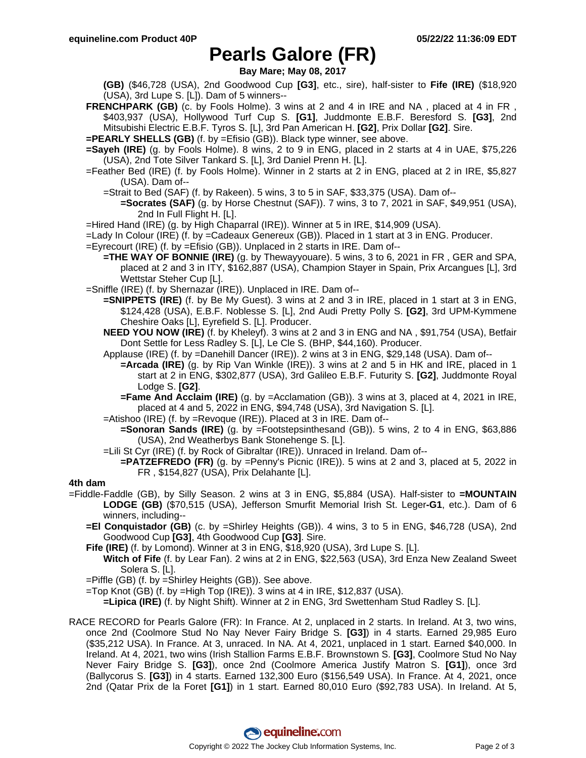### **Pearls Galore (FR)**

**Bay Mare; May 08, 2017**

**(GB)** (\$46,728 (USA), 2nd Goodwood Cup **[G3]**, etc., sire), half-sister to **Fife (IRE)** (\$18,920 (USA), 3rd Lupe S. [L]). Dam of 5 winners--

**FRENCHPARK (GB)** (c. by Fools Holme). 3 wins at 2 and 4 in IRE and NA, placed at 4 in FR, \$403,937 (USA), Hollywood Turf Cup S. **[G1]**, Juddmonte E.B.F. Beresford S. **[G3]**, 2nd Mitsubishi Electric E.B.F. Tyros S. [L], 3rd Pan American H. **[G2]**, Prix Dollar **[G2]**. Sire.

**=PEARLY SHELLS (GB)** (f. by =Efisio (GB)). Black type winner, see above.

- **=Sayeh (IRE)** (g. by Fools Holme). 8 wins, 2 to 9 in ENG, placed in 2 starts at 4 in UAE, \$75,226 (USA), 2nd Tote Silver Tankard S. [L], 3rd Daniel Prenn H. [L].
- =Feather Bed (IRE) (f. by Fools Holme). Winner in 2 starts at 2 in ENG, placed at 2 in IRE, \$5,827 (USA). Dam of--
	- =Strait to Bed (SAF) (f. by Rakeen). 5 wins, 3 to 5 in SAF, \$33,375 (USA). Dam of--
		- **=Socrates (SAF)** (g. by Horse Chestnut (SAF)). 7 wins, 3 to 7, 2021 in SAF, \$49,951 (USA), 2nd In Full Flight H. [L].
- =Hired Hand (IRE) (g. by High Chaparral (IRE)). Winner at 5 in IRE, \$14,909 (USA).
- =Lady In Colour (IRE) (f. by =Cadeaux Genereux (GB)). Placed in 1 start at 3 in ENG. Producer.
- =Eyrecourt (IRE) (f. by =Efisio (GB)). Unplaced in 2 starts in IRE. Dam of--
	- **=THE WAY OF BONNIE (IRE)** (g. by Thewayyouare). 5 wins, 3 to 6, 2021 in FR , GER and SPA, placed at 2 and 3 in ITY, \$162,887 (USA), Champion Stayer in Spain, Prix Arcangues [L], 3rd Wettstar Steher Cup [L].
- =Sniffle (IRE) (f. by Shernazar (IRE)). Unplaced in IRE. Dam of--
	- **=SNIPPETS (IRE)** (f. by Be My Guest). 3 wins at 2 and 3 in IRE, placed in 1 start at 3 in ENG, \$124,428 (USA), E.B.F. Noblesse S. [L], 2nd Audi Pretty Polly S. **[G2]**, 3rd UPM-Kymmene Cheshire Oaks [L], Eyrefield S. [L]. Producer.
	- **NEED YOU NOW (IRE)** (f. by Kheleyf). 3 wins at 2 and 3 in ENG and NA , \$91,754 (USA), Betfair Dont Settle for Less Radley S. [L], Le Cle S. (BHP, \$44,160). Producer.
	- Applause (IRE) (f. by =Danehill Dancer (IRE)). 2 wins at 3 in ENG, \$29,148 (USA). Dam of--
		- **=Arcada (IRE)** (g. by Rip Van Winkle (IRE)). 3 wins at 2 and 5 in HK and IRE, placed in 1 start at 2 in ENG, \$302,877 (USA), 3rd Galileo E.B.F. Futurity S. **[G2]**, Juddmonte Royal Lodge S. **[G2]**.
		- **=Fame And Acclaim (IRE)** (g. by =Acclamation (GB)). 3 wins at 3, placed at 4, 2021 in IRE, placed at 4 and 5, 2022 in ENG, \$94,748 (USA), 3rd Navigation S. [L].
	- =Atishoo (IRE) (f. by =Revoque (IRE)). Placed at 3 in IRE. Dam of--
		- **=Sonoran Sands (IRE)** (g. by =Footstepsinthesand (GB)). 5 wins, 2 to 4 in ENG, \$63,886 (USA), 2nd Weatherbys Bank Stonehenge S. [L].
	- =Lili St Cyr (IRE) (f. by Rock of Gibraltar (IRE)). Unraced in Ireland. Dam of--
	- **=PATZEFREDO (FR)** (g. by =Penny's Picnic (IRE)). 5 wins at 2 and 3, placed at 5, 2022 in FR , \$154,827 (USA), Prix Delahante [L].

#### **4th dam**

- =Fiddle-Faddle (GB), by Silly Season. 2 wins at 3 in ENG, \$5,884 (USA). Half-sister to **=MOUNTAIN LODGE (GB)** (\$70,515 (USA), Jefferson Smurfit Memorial Irish St. Leger**-G1**, etc.). Dam of 6 winners, including--
	- **=El Conquistador (GB)** (c. by =Shirley Heights (GB)). 4 wins, 3 to 5 in ENG, \$46,728 (USA), 2nd Goodwood Cup **[G3]**, 4th Goodwood Cup **[G3]**. Sire.
	- **Fife (IRE)** (f. by Lomond). Winner at 3 in ENG, \$18,920 (USA), 3rd Lupe S. [L].
	- **Witch of Fife** (f. by Lear Fan). 2 wins at 2 in ENG, \$22,563 (USA), 3rd Enza New Zealand Sweet Solera S. [L].
	- =Piffle (GB) (f. by =Shirley Heights (GB)). See above.
	- =Top Knot (GB) (f. by =High Top (IRE)). 3 wins at 4 in IRE, \$12,837 (USA).

**=Lipica (IRE)** (f. by Night Shift). Winner at 2 in ENG, 3rd Swettenham Stud Radley S. [L].

RACE RECORD for Pearls Galore (FR): In France. At 2, unplaced in 2 starts. In Ireland. At 3, two wins, once 2nd (Coolmore Stud No Nay Never Fairy Bridge S. **[G3]**) in 4 starts. Earned 29,985 Euro (\$35,212 USA). In France. At 3, unraced. In NA. At 4, 2021, unplaced in 1 start. Earned \$40,000. In Ireland. At 4, 2021, two wins (Irish Stallion Farms E.B.F. Brownstown S. **[G3]**, Coolmore Stud No Nay Never Fairy Bridge S. **[G3]**), once 2nd (Coolmore America Justify Matron S. **[G1]**), once 3rd (Ballycorus S. **[G3]**) in 4 starts. Earned 132,300 Euro (\$156,549 USA). In France. At 4, 2021, once 2nd (Qatar Prix de la Foret **[G1]**) in 1 start. Earned 80,010 Euro (\$92,783 USA). In Ireland. At 5,